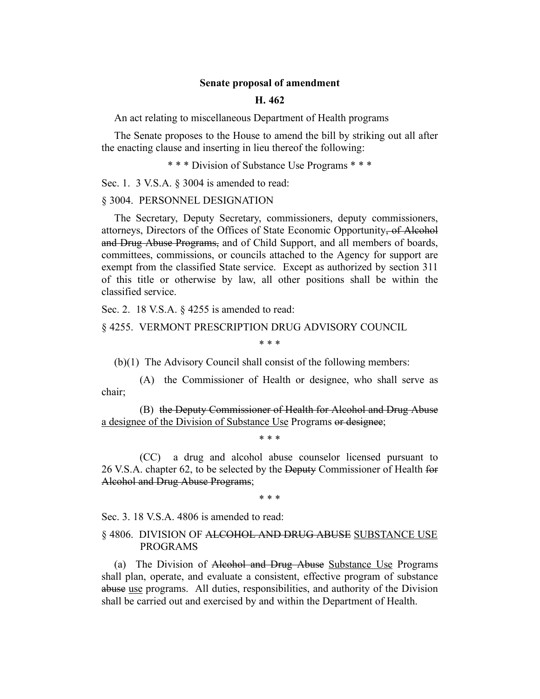## **Senate proposal of amendment**

## **H. 462**

An act relating to miscellaneous Department of Health programs

The Senate proposes to the House to amend the bill by striking out all after the enacting clause and inserting in lieu thereof the following:

\* \* \* Division of Substance Use Programs \* \* \*

Sec. 1. 3 V.S.A. § 3004 is amended to read:

#### § 3004. PERSONNEL DESIGNATION

The Secretary, Deputy Secretary, commissioners, deputy commissioners, attorneys, Directors of the Offices of State Economic Opportunity, of Alcohol and Drug Abuse Programs, and of Child Support, and all members of boards, committees, commissions, or councils attached to the Agency for support are exempt from the classified State service. Except as authorized by section 311 of this title or otherwise by law, all other positions shall be within the classified service.

Sec. 2. 18 V.S.A. § 4255 is amended to read:

#### § 4255. VERMONT PRESCRIPTION DRUG ADVISORY COUNCIL

\* \* \*

(b)(1) The Advisory Council shall consist of the following members:

(A) the Commissioner of Health or designee, who shall serve as chair;

(B) the Deputy Commissioner of Health for Alcohol and Drug Abuse a designee of the Division of Substance Use Programs or designee;

\* \* \*

(CC) a drug and alcohol abuse counselor licensed pursuant to 26 V.S.A. chapter 62, to be selected by the Deputy Commissioner of Health for Alcohol and Drug Abuse Programs;

\* \* \*

Sec. 3. 18 V.S.A. 4806 is amended to read:

## § 4806. DIVISION OF ALCOHOL AND DRUG ABUSE SUBSTANCE USE PROGRAMS

(a) The Division of Alcohol and Drug Abuse Substance Use Programs shall plan, operate, and evaluate a consistent, effective program of substance abuse use programs. All duties, responsibilities, and authority of the Division shall be carried out and exercised by and within the Department of Health.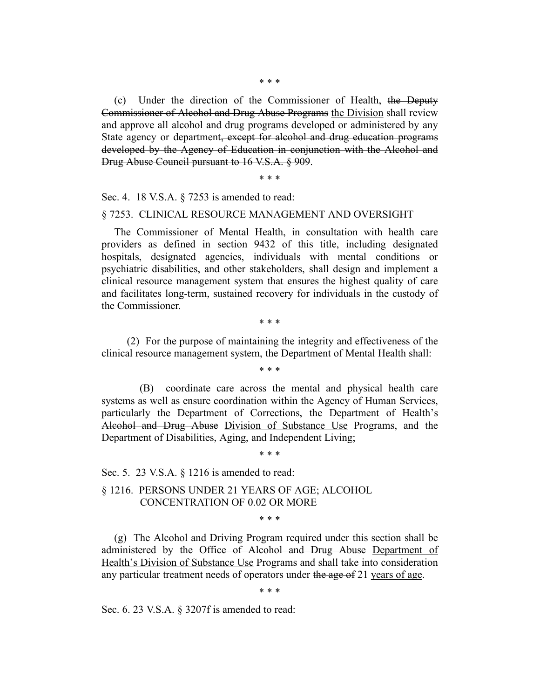(c) Under the direction of the Commissioner of Health, the Deputy Commissioner of Alcohol and Drug Abuse Programs the Division shall review and approve all alcohol and drug programs developed or administered by any State agency or department, except for alcohol and drug education programs developed by the Agency of Education in conjunction with the Alcohol and Drug Abuse Council pursuant to 16 V.S.A. § 909.

\* \* \*

Sec. 4. 18 V.S.A. § 7253 is amended to read:

#### § 7253. CLINICAL RESOURCE MANAGEMENT AND OVERSIGHT

The Commissioner of Mental Health, in consultation with health care providers as defined in section 9432 of this title, including designated hospitals, designated agencies, individuals with mental conditions or psychiatric disabilities, and other stakeholders, shall design and implement a clinical resource management system that ensures the highest quality of care and facilitates long-term, sustained recovery for individuals in the custody of the Commissioner.

\* \* \*

(2) For the purpose of maintaining the integrity and effectiveness of the clinical resource management system, the Department of Mental Health shall:

\* \* \*

(B) coordinate care across the mental and physical health care systems as well as ensure coordination within the Agency of Human Services, particularly the Department of Corrections, the Department of Health's Alcohol and Drug Abuse Division of Substance Use Programs, and the Department of Disabilities, Aging, and Independent Living;

\* \* \*

Sec. 5. 23 V.S.A. § 1216 is amended to read:

§ 1216. PERSONS UNDER 21 YEARS OF AGE; ALCOHOL CONCENTRATION OF 0.02 OR MORE

\* \* \*

(g) The Alcohol and Driving Program required under this section shall be administered by the Office of Alcohol and Drug Abuse Department of Health's Division of Substance Use Programs and shall take into consideration any particular treatment needs of operators under the age of 21 years of age.

\* \* \*

Sec. 6. 23 V.S.A. § 3207f is amended to read: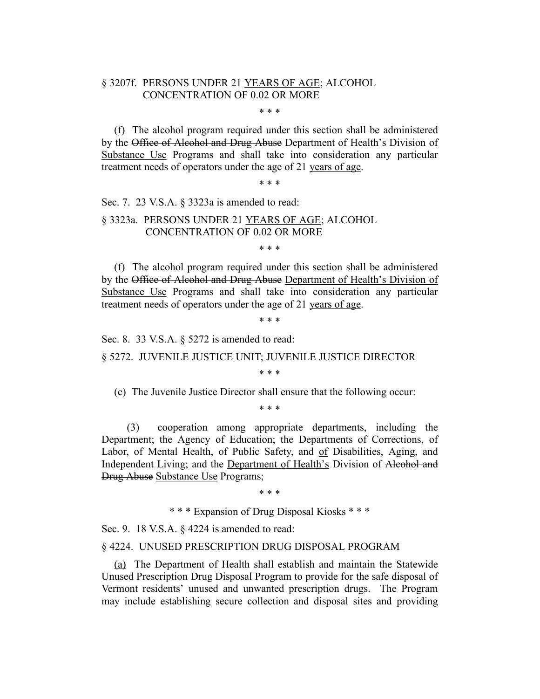# § 3207f. PERSONS UNDER 21 YEARS OF AGE; ALCOHOL CONCENTRATION OF 0.02 OR MORE

#### \* \* \*

(f) The alcohol program required under this section shall be administered by the Office of Alcohol and Drug Abuse Department of Health's Division of Substance Use Programs and shall take into consideration any particular treatment needs of operators under the age of 21 years of age.

\* \* \*

Sec. 7. 23 V.S.A. § 3323a is amended to read:

## § 3323a. PERSONS UNDER 21 YEARS OF AGE; ALCOHOL CONCENTRATION OF 0.02 OR MORE

\* \* \*

(f) The alcohol program required under this section shall be administered by the Office of Alcohol and Drug Abuse Department of Health's Division of Substance Use Programs and shall take into consideration any particular treatment needs of operators under the age of 21 years of age.

\* \* \*

Sec. 8. 33 V.S.A. § 5272 is amended to read:

§ 5272. JUVENILE JUSTICE UNIT; JUVENILE JUSTICE DIRECTOR

\* \* \*

(c) The Juvenile Justice Director shall ensure that the following occur:

\* \* \*

(3) cooperation among appropriate departments, including the Department; the Agency of Education; the Departments of Corrections, of Labor, of Mental Health, of Public Safety, and of Disabilities, Aging, and Independent Living; and the Department of Health's Division of Alcohol and Drug Abuse Substance Use Programs;

\* \* \*

\* \* \* Expansion of Drug Disposal Kiosks \* \* \*

Sec. 9. 18 V.S.A. § 4224 is amended to read:

§ 4224. UNUSED PRESCRIPTION DRUG DISPOSAL PROGRAM

(a) The Department of Health shall establish and maintain the Statewide Unused Prescription Drug Disposal Program to provide for the safe disposal of Vermont residents' unused and unwanted prescription drugs. The Program may include establishing secure collection and disposal sites and providing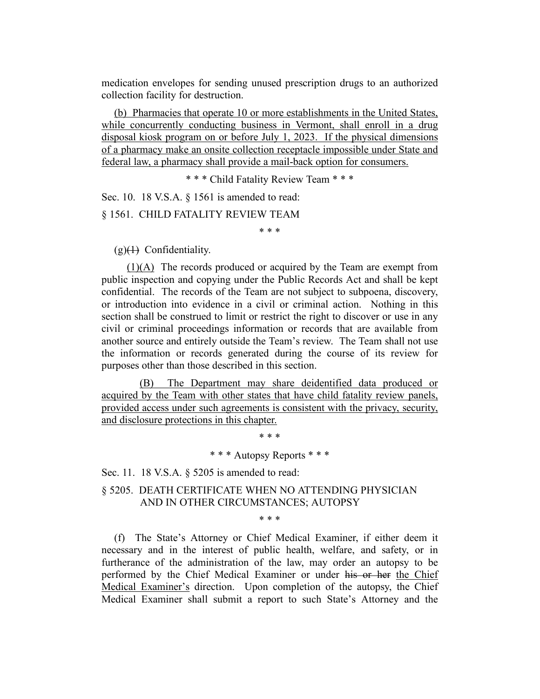medication envelopes for sending unused prescription drugs to an authorized collection facility for destruction.

(b) Pharmacies that operate 10 or more establishments in the United States, while concurrently conducting business in Vermont, shall enroll in a drug disposal kiosk program on or before July 1, 2023. If the physical dimensions of a pharmacy make an onsite collection receptacle impossible under State and federal law, a pharmacy shall provide a mail-back option for consumers.

\* \* \* Child Fatality Review Team \* \* \*

Sec. 10. 18 V.S.A. § 1561 is amended to read:

§ 1561. CHILD FATALITY REVIEW TEAM

\* \* \*

 $(g)(1)$  Confidentiality.

(1)(A) The records produced or acquired by the Team are exempt from public inspection and copying under the Public Records Act and shall be kept confidential. The records of the Team are not subject to subpoena, discovery, or introduction into evidence in a civil or criminal action. Nothing in this section shall be construed to limit or restrict the right to discover or use in any civil or criminal proceedings information or records that are available from another source and entirely outside the Team's review. The Team shall not use the information or records generated during the course of its review for purposes other than those described in this section.

(B) The Department may share deidentified data produced or acquired by the Team with other states that have child fatality review panels, provided access under such agreements is consistent with the privacy, security, and disclosure protections in this chapter.

\* \* \*

\* \* \* Autopsy Reports \* \* \*

Sec. 11. 18 V.S.A. § 5205 is amended to read:

§ 5205. DEATH CERTIFICATE WHEN NO ATTENDING PHYSICIAN AND IN OTHER CIRCUMSTANCES; AUTOPSY

\* \* \*

(f) The State's Attorney or Chief Medical Examiner, if either deem it necessary and in the interest of public health, welfare, and safety, or in furtherance of the administration of the law, may order an autopsy to be performed by the Chief Medical Examiner or under his or her the Chief Medical Examiner's direction. Upon completion of the autopsy, the Chief Medical Examiner shall submit a report to such State's Attorney and the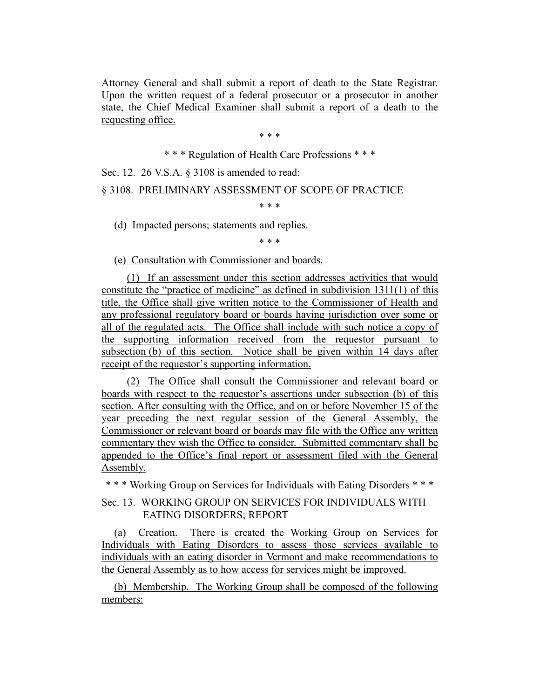Attorney General and shall submit a report of death to the State Registrar. Upon the written request of a federal prosecutor or a prosecutor in another state, the Chief Medical Examiner shall submit a report of a death to the requesting office.

\* \* \*

\* \* \* Regulation of Health Care Professions \* \* \*

Sec. 12. 26 V.S.A. § 3108 is amended to read:

§ 3108. PRELIMINARY ASSESSMENT OF SCOPE OF PRACTICE

\* \* \*

(d) Impacted persons; statements and replies.

\* \* \*

(e) Consultation with Commissioner and boards.

(1) If an assessment under this section addresses activities that would constitute the "practice of medicine" as defined in subdivision 1311(1) of this title, the Office shall give written notice to the Commissioner of Health and any professional regulatory board or boards having jurisdiction over some or all of the regulated acts. The Office shall include with such notice a copy of the supporting information received from the requestor pursuant to subsection (b) of this section. Notice shall be given within 14 days after receipt of the requestor's supporting information.

(2) The Office shall consult the Commissioner and relevant board or boards with respect to the requestor's assertions under subsection (b) of this section. After consulting with the Office, and on or before November 15 of the year preceding the next regular session of the General Assembly, the Commissioner or relevant board or boards may file with the Office any written commentary they wish the Office to consider. Submitted commentary shall be appended to the Office's final report or assessment filed with the General Assembly.

\* \* \* Working Group on Services for Individuals with Eating Disorders \* \* \*

# Sec. 13. WORKING GROUP ON SERVICES FOR INDIVIDUALS WITH EATING DISORDERS; REPORT

(a) Creation. There is created the Working Group on Services for Individuals with Eating Disorders to assess those services available to individuals with an eating disorder in Vermont and make recommendations to the General Assembly as to how access for services might be improved.

(b) Membership. The Working Group shall be composed of the following members: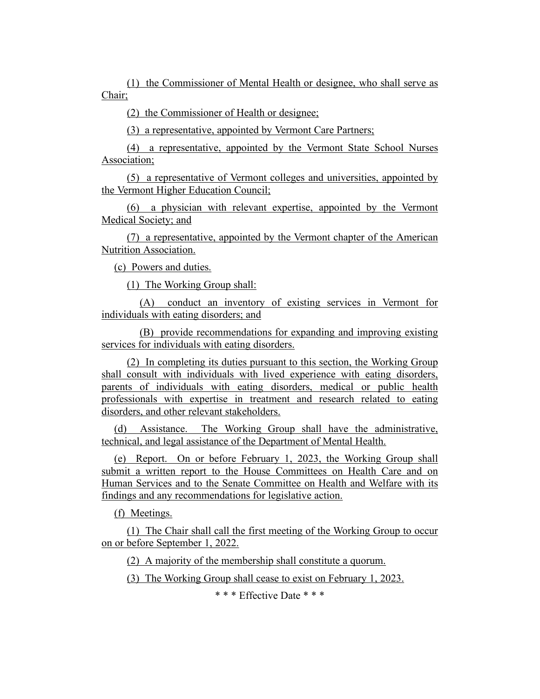(1) the Commissioner of Mental Health or designee, who shall serve as Chair;

(2) the Commissioner of Health or designee;

(3) a representative, appointed by Vermont Care Partners;

(4) a representative, appointed by the Vermont State School Nurses Association;

(5) a representative of Vermont colleges and universities, appointed by the Vermont Higher Education Council;

(6) a physician with relevant expertise, appointed by the Vermont Medical Society; and

(7) a representative, appointed by the Vermont chapter of the American Nutrition Association.

(c) Powers and duties.

(1) The Working Group shall:

(A) conduct an inventory of existing services in Vermont for individuals with eating disorders; and

(B) provide recommendations for expanding and improving existing services for individuals with eating disorders.

(2) In completing its duties pursuant to this section, the Working Group shall consult with individuals with lived experience with eating disorders, parents of individuals with eating disorders, medical or public health professionals with expertise in treatment and research related to eating disorders, and other relevant stakeholders.

(d) Assistance. The Working Group shall have the administrative, technical, and legal assistance of the Department of Mental Health.

(e) Report. On or before February 1, 2023, the Working Group shall submit a written report to the House Committees on Health Care and on Human Services and to the Senate Committee on Health and Welfare with its findings and any recommendations for legislative action.

(f) Meetings.

(1) The Chair shall call the first meeting of the Working Group to occur on or before September 1, 2022.

(2) A majority of the membership shall constitute a quorum.

(3) The Working Group shall cease to exist on February 1, 2023.

\* \* \* Effective Date \* \* \*